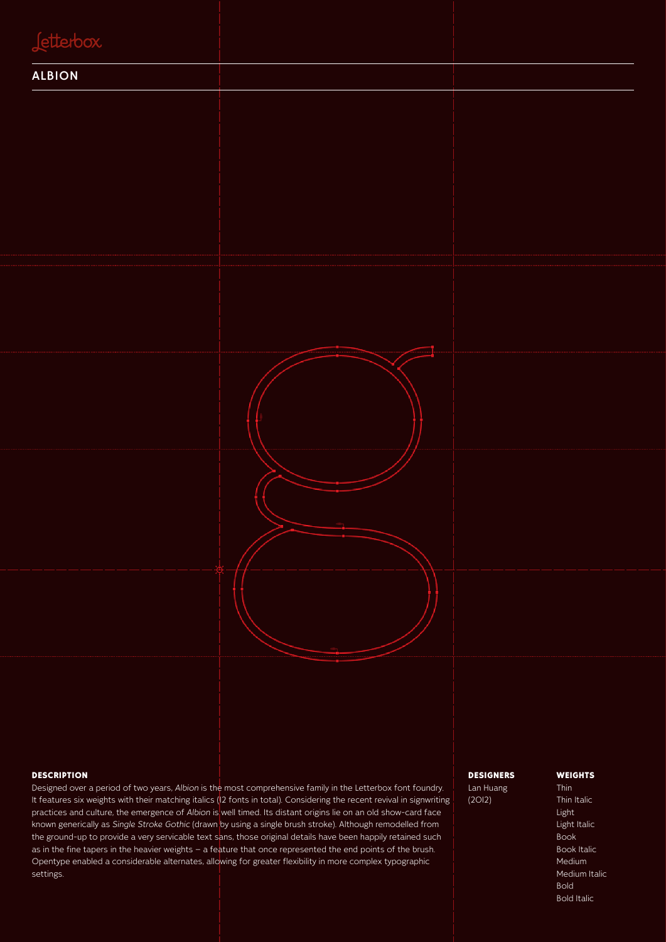#### terbox

#### ALBION



#### **DESCRIPTION**

Designed over a period of two years, *Albion* is the most comprehensive family in the Letterbox font foundry. It features six weights with their matching italics (12 fonts in total). Considering the recent revival in signwriting practices and culture, the emergence of *Albion* is well timed. Its distant origins lie on an old show-card face known generically as *Single Stroke Gothic* (drawn by using a single brush stroke). Although remodelled from the ground-up to provide a very servicable text sans, those original details have been happily retained such as in the fine tapers in the heavier weights – a feature that once represented the end points of the brush. Opentype enabled a considerable alternates, allowing for greater flexibility in more complex typographic settings.

#### DESIGNERS

Lan Huang (2012)

#### **WEIGHTS**

Thin Thin Italic Light Light Italic Book **Book Italic** Medium Medium Italic Bold Bold Italic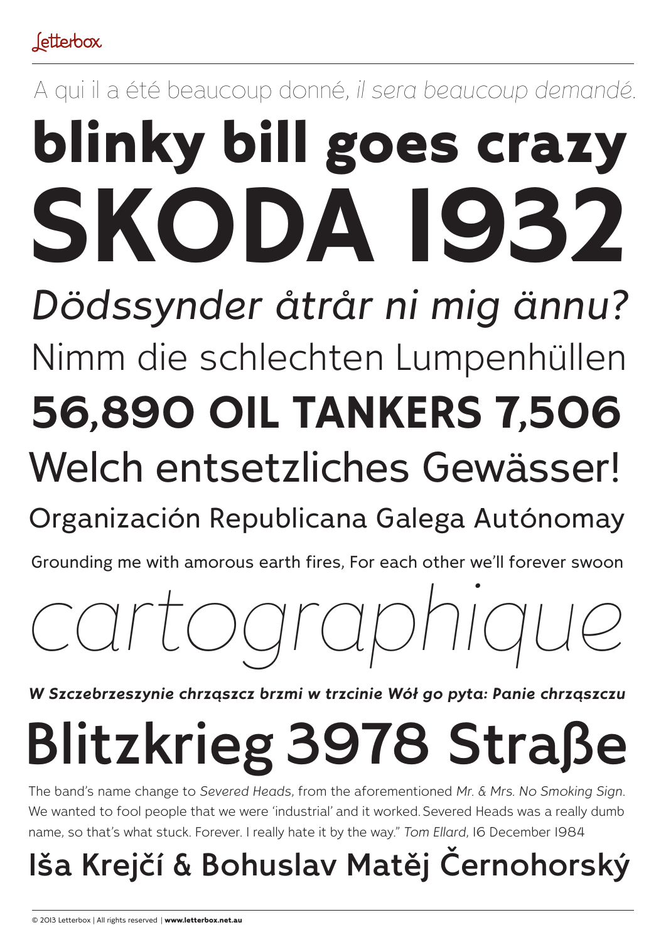# A qui il a été beaucoup donné, *il sera beaucoup demandé.* blinky bill goes crazy Nimm die schlechten Lumpenhüllen **SKODA 1932 56,890 OIL TANKERS 7,506** *Dödssynder åtrår ni mig ännu?*

# Welch entsetzliches Gewässer!

# Organización Republicana Galega Autónomay

Grounding me with amorous earth fires, For each other we'll forever swoon

# *cartographique*

*W Szczebrzeszynie chrząszcz brzmi w trzcinie Wół go pyta: Panie chrząszczu*

# Blitzkrieg 3978 Straße

The band's name change to *Severed Heads*, from the aforementioned *Mr. & Mrs. No Smoking Sign*. We wanted to fool people that we were 'industrial' and it worked. Severed Heads was a really dumb name, so that's what stuck. Forever. I really hate it by the way." *Tom Ellard*, 16 December 1984

# Iša Krejčí & Bohuslav Matěj Černohorský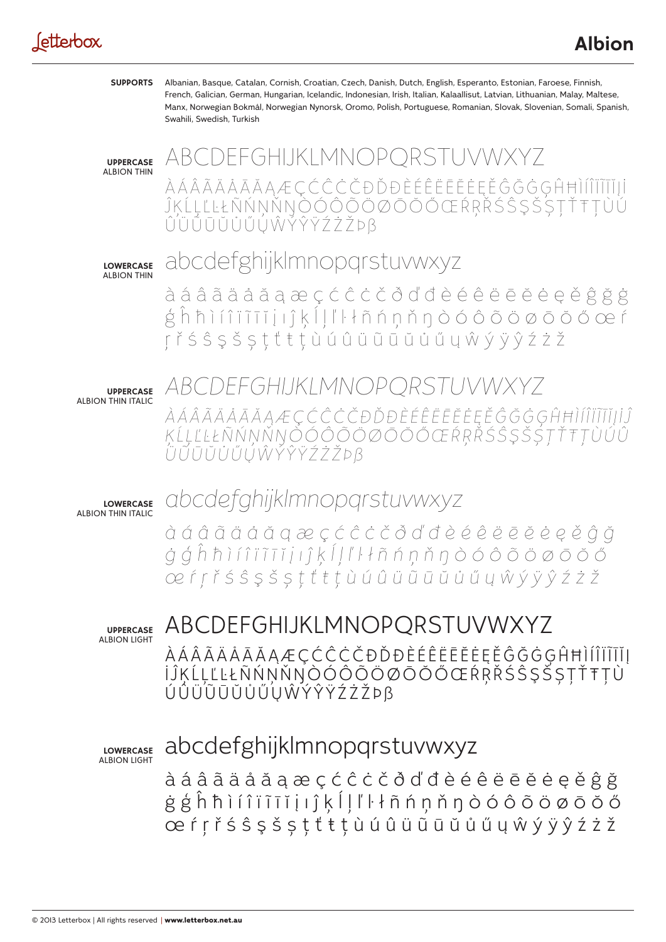#### Jetterbox

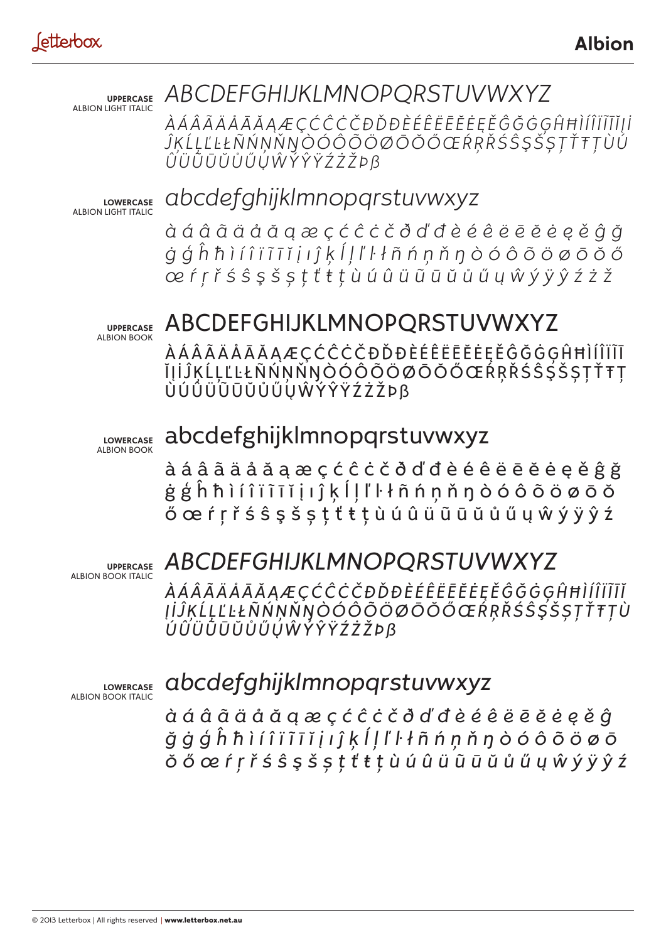**UPPERCASE** ALBION LIGHT ITALIC

#### *ABCDEFGHIJKLMNOPQRSTUVWXYZ*

*ÀÁÂÃÄÅĀĂĄÆÇĆĈĊČÐĎĐÈÉÊËĒĔĖĘĚĜĞĠĢĤĦÌÍÎÏĨĪĬĮİ ĴĶĹĻĽĿŁÑŃŅŇŊÒÓÔÕÖØŌŎŐŒŔŖŘŚŜŞŠȘŢŤŦȚÙÚ ÛÜŨŪŬŮŰŲŴÝŶŸŹŻŽÞß*

**LOWERCASE** ALBION LIGHT ITALIC

#### *abcdefghijklmnopqrstuvwxyz*

*àáâãäåăąæçćĉċčðďđèéêëēĕėęěĝğ ġģĥħìíîïĩīĭįıĵķĺļľŀłñńņňŋòóôõöøōŏő œŕŗřśŝşšșţťŧțùúûüũūŭůűųŵýÿŷźżž*

**UPPERCASE** ALBION BOOK

#### ABCDEFGHIJKLMNOPQRSTUVWXYZ

ÀÁÂÃÄÅĀĂĄÆÇĆĈĊČÐĎĐÈÉÊËĒĔĖĘĚĜĞĠĢĤĦÌÍÎÏĨĪ ĬIJĨĶĹĻĽĿŁÑŃŅŇŊÒÓÔÕÖØŌŎŎŒŔŖŘŚŜŞŠȘŢŤŦŢ ÙÚÛÜŨŪŬŮŰŲŴÝŶŸŹŻŽÞß

**LOWERCASE** ALBION BOOK

#### abcdefghijklmnopqrstuvwxyz

àáâãäåăąæçćĉċčðďđèéêëēĕėęěĝğ ġģĥħìíîïĩīĭįıĵķĺļľŀłñńņňŋòóôõöøōŏ őœŕŗřśŝşšșţťŧțùúûüũūŭůűųŵýÿŷź

**UPPERCASE** ALBION BOOK ITALIC

## *ABCDEFGHIJKLMNOPQRSTUVWXYZ*

*ÀÁÂÃÄÅĀĂĄÆÇĆĈĊČÐĎĐÈÉÊËĒĔĖĘĚĜĞĠĢĤĦÌÍÎÏĨĪĬ ĮİĴĶĹĻĽĿŁÑŃŅŇŊÒÓÔÕÖØŌŎŐŒŔŖŘŚŜŞŠȘŢŤŦȚÙ ÚÛÜŨŪŬŮŰŲŴÝŶŸŹŻŽÞß*

**LOWERCASE** ALBION BOOK ITALIC

#### *abcdefghijklmnopqrstuvwxyz*

*àáâãäåăąæçćĉċčðďđèéêëēĕėęěĝ ğġģĥħìíîïĩīĭįıĵķĺļľŀłñńņňŋòóôõöøō ŏőœŕŗřśŝşšșţťŧțùúûüũūŭůűųŵýÿŷź*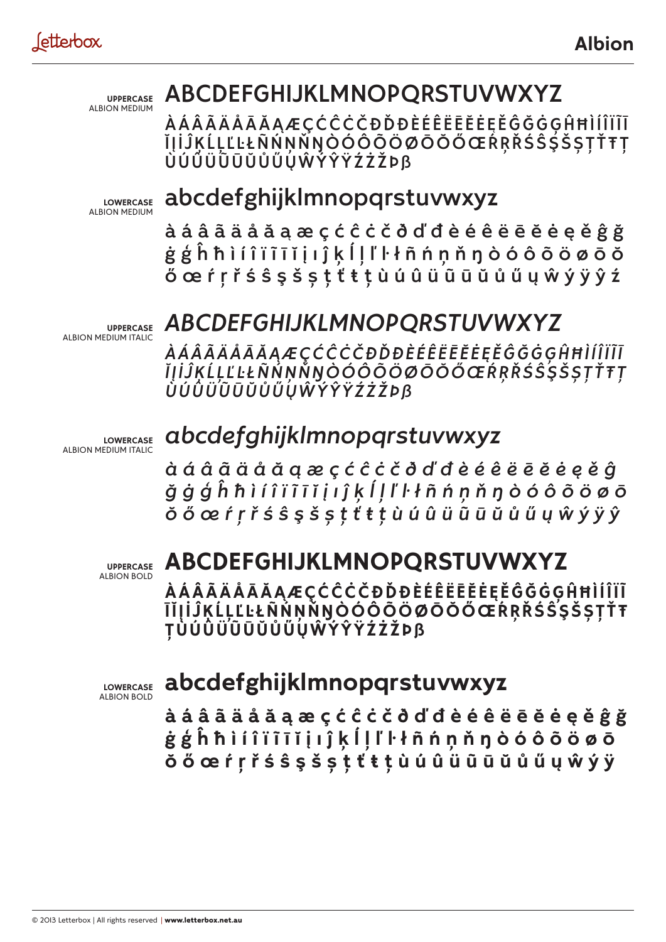**UPPERCASE** ALBION MEDIUM

## ABCDEFGHIJKLMNOPQRSTUVWXYZ

ÀÁÂÃÄÅĀĂĄÆÇĆĈĊČÐĎĐÈÉÊËĒĔĖĘĚĜĞĠĢĤĦÌÍÎÏĨĪ ĬĮİĴĶĹĻĽĿŁÑŃŅŇŊÒÓÔÕÖØŌŎŐŒŔŖŘŚŜŚŠȘŢŤŦŢ ÙÚÛÜŨŪŬŮŰŲŴÝŶŸŹŻŽÞß

**LOWERCASE** ALBION MEDIUM

## abcdefghijklmnopqrstuvwxyz

àáâãäåăąæçćĉċčðďđèéêëēĕėęěĝğ ġģĥħìíîïĩīĭįıĵķĺļľŀłñńņňŋòóôõöøōŏ őœŕŗřśŝşšșţťŧțùúûüũūŭůűųŵýÿŷź

**UPPERCASE** ALBION MEDIUM ITALIC

#### *ABCDEFGHIJKLMNOPQRSTUVWXYZ*

*ÀÁÂÃÄÅĀĂĄÆÇĆĈĊČÐĎĐÈÉÊËĒĔĖĘĚĜĞĠĢĤĦÌÍÎÏĨĪ ĬĮİĴĶĹĻĽĿŁÑŃŅŇŊÒÓÔÕÖØŌŎŐŒŔŖŘŚŜŞŠȘŢŤŦȚ ÙÚÛÜŨŪŬŮŰŲŴÝŶŸŹŻŽÞß*

**LOWERCASE** ALBION MEDIUM ITALIC

#### *abcdefghijklmnopqrstuvwxyz*

*àáâãäåăąæçćĉċčðďđèéêëēĕėęěĝ ğġģĥħìíîïĩīĭįıĵķĺļľŀłñńņňŋòóôõöøō ŏőœŕŗřśŝşšșţťŧțùúûüũūŭůűųŵýÿŷ*

**UPPERCASE** ALBION BOLD

## **ABCDEFGHIJKLMNOPQRSTUVWXYZ**

**ÀÁÂÃÄÅĀĂĄÆÇĆĈĊČÐĎĐÈÉÊËĒĔĖĘĚĜĞĠĢĤĦÌÍÎÏĨ ĪĬĮİĴĶĹĻĽĿŁÑŃŅŇŊÒÓÔÕÖØŌŎŐŒŔŖŘŚŜŞŠȘŢŤŦ ȚÙÚÛÜŨŪŬŮŰŲŴÝŶŸŹŻŽÞß**

**LOWERCASE** ALBION BOLD

#### **abcdefghijklmnopqrstuvwxyz**

**àáâãäåăąæçćĉċčðďđèéêëēĕėęěĝğ ġģĥħìíîïĩīĭįıĵķĺļľŀłñńņňŋòóôõöøō ŏőœŕŗřśŝşšșţťŧțùúûüũūŭůűųŵýÿ**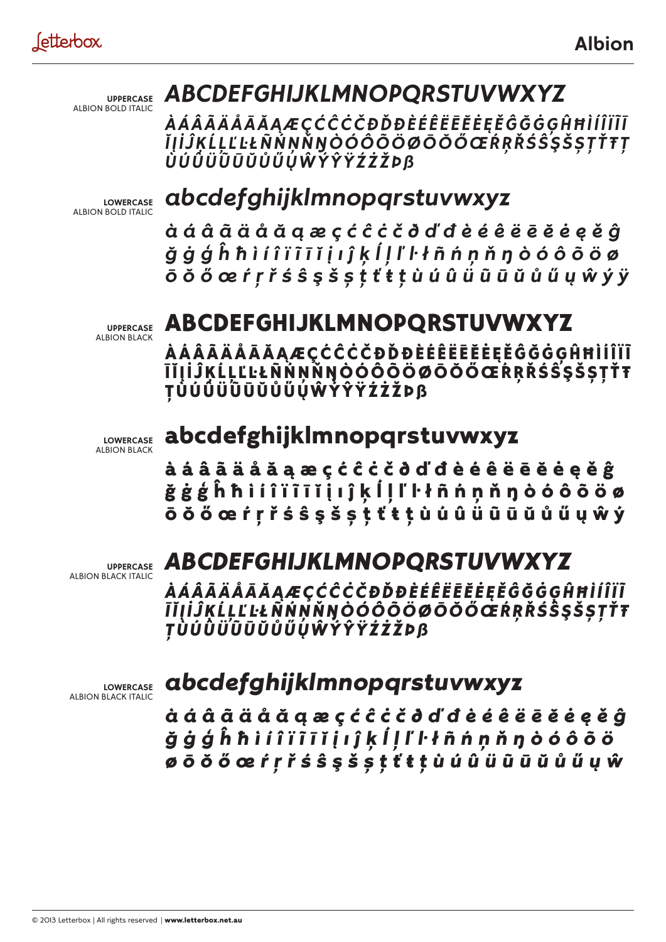**UPPERCASE** ALBION BOLD ITALIC

## *ABCDEFGHIJKLMNOPQRSTUVWXYZ*

*ÀÁÂÃÄÅĀĂĄÆÇĆĈĊČÐĎĐÈÉÊËĒĔĖĘĚĜĞĠĢĤĦÌÍÎÏĨĪ ĬĮİĴĶĹĻĽĿŁÑŃŅŇŊÒÓÔÕÖØŌŎŐŒŔŖŘŚŜŞŠȘŢŤŦȚ ÙÚÛÜŨŪŬŮŰŲŴÝŶŸŹŻŽÞß*

**LOWERCASE** ALBION BOLD ITALIC

#### *abcdefghijklmnopqrstuvwxyz*

*àáâãäåăąæçćĉċčðďđèéêëēĕėęěĝ ğġģĥħìíîïĩīĭįıĵķĺļľŀłñńņňŋòóôõöø ōŏőœŕŗřśŝşšșţťŧțùúûüũūŭůűųŵýÿ*

**UPPERCASE** ALBION BLACK

#### ABCDEFGHIJKLMNOPQRSTUVWXYZ

ÀÁÂÃÄÅĀĂĄÆÇĆĈĊČÐĎĐÈÉÊËĒĔĖĘĚĜĞĠĢĤĦÌÍÎÏĨ ĪĬĮİĴĶĹĻĽĿŁÑŃŅŇŊÒÓÔÕÖØŌŎŐŒŔŖŘŚŜŞŠȘŢŤŦ ȚÙÚÛÜŨŪŬŮŰŲŴÝŶŸŹŻŽÞß

**LOWERCASE** ALBION BLACK

#### abcdefghijklmnopqrstuvwxyz

àáâãäåăąæçćĉċčðďđèéêëēĕėęěĝ ğġģĥħìíîïĩīĭįıĵķĺļľŀłñńņňŋòóôõöø ōŏőœŕŗřśŝşšșţťŧțùúûüũūŭůűųŵý

**UPPERCASE** ALBION BLACK ITALIC

#### *ABCDEFGHIJKLMNOPQRSTUVWXYZ*

*ÀÁÂÃÄÅĀĂĄÆÇĆĈĊČÐĎĐÈÉÊËĒĔĖĘĚĜĞĠĢĤĦÌÍÎÏĨ ĪĬĮİĴĶĹĻĽĿŁÑŃŅŇŊÒÓÔÕÖØŌŎŐŒŔŖŘŚŜŞŠȘŢŤŦ ȚÙÚÛÜŨŪŬŮŰŲŴÝŶŸŹŻŽÞß*

**LOWERCASE** ALBION BLACK ITALIC

#### *abcdefghijklmnopqrstuvwxyz*

*àáâãäåăąæçćĉċčðďđèéêëēĕėęěĝ ğġģĥħìíîïĩīĭįıĵķĺļľŀłñńņňŋòóôõö øōŏőœŕŗřśŝşšșţťŧțùúûüũūŭůűųŵ*